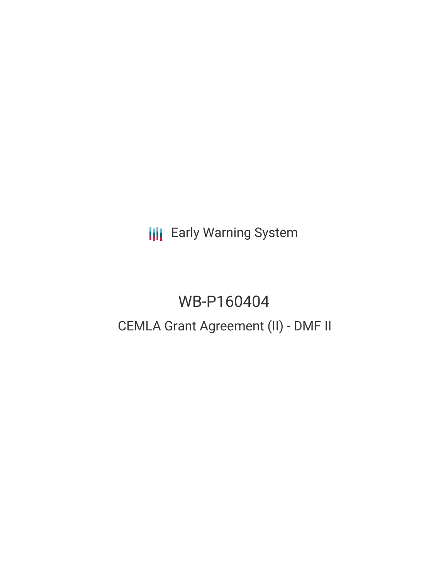**III** Early Warning System

# WB-P160404

# CEMLA Grant Agreement (II) - DMF II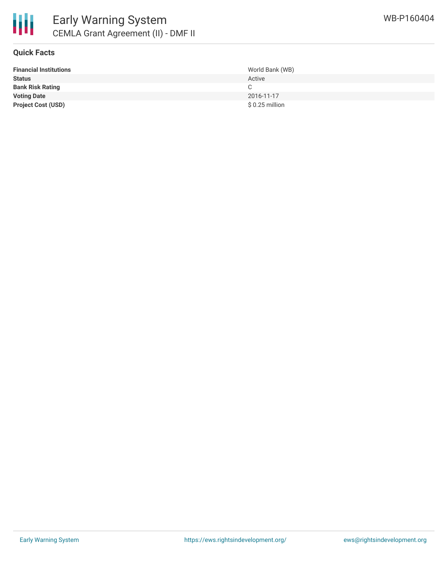

## **Quick Facts**

| <b>Financial Institutions</b> | World Bank (WB) |
|-------------------------------|-----------------|
| <b>Status</b>                 | Active          |
| <b>Bank Risk Rating</b>       |                 |
| <b>Voting Date</b>            | 2016-11-17      |
| <b>Project Cost (USD)</b>     | \$0.25 million  |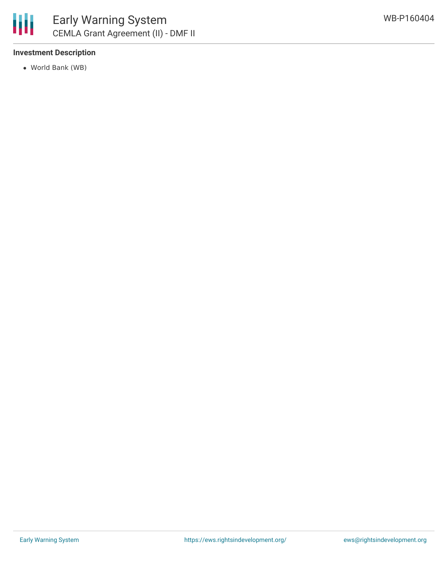

# **Investment Description**

World Bank (WB)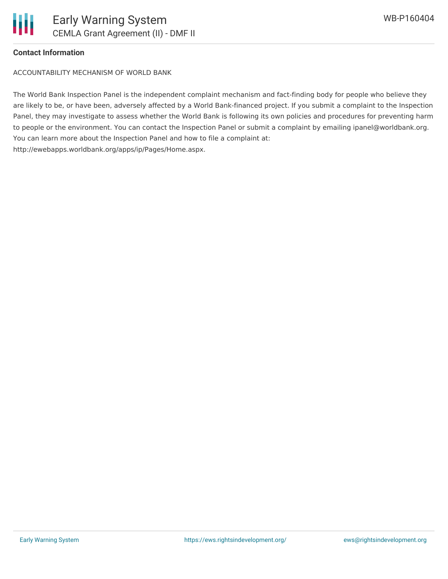#### **Contact Information**

ACCOUNTABILITY MECHANISM OF WORLD BANK

The World Bank Inspection Panel is the independent complaint mechanism and fact-finding body for people who believe they are likely to be, or have been, adversely affected by a World Bank-financed project. If you submit a complaint to the Inspection Panel, they may investigate to assess whether the World Bank is following its own policies and procedures for preventing harm to people or the environment. You can contact the Inspection Panel or submit a complaint by emailing ipanel@worldbank.org. You can learn more about the Inspection Panel and how to file a complaint at: http://ewebapps.worldbank.org/apps/ip/Pages/Home.aspx.